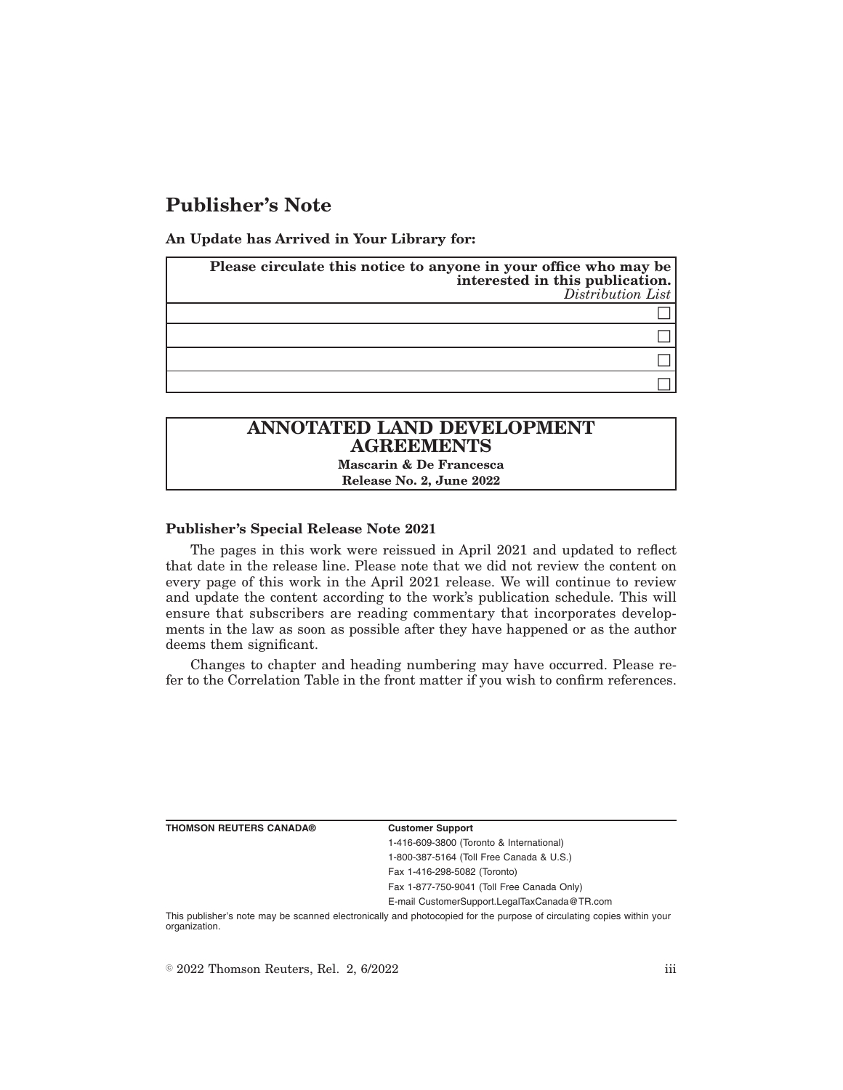# **Publisher's Note**

**An Update has Arrived in Your Library for:**

| Please circulate this notice to anyone in your office who may be<br>interested in this publication.<br>Distribution List |
|--------------------------------------------------------------------------------------------------------------------------|
|                                                                                                                          |
|                                                                                                                          |
|                                                                                                                          |
|                                                                                                                          |

# **ANNOTATED LAND DEVELOPMENT AGREEMENTS**

**Mascarin & De Francesca Release No. 2, June 2022**

### **Publisher's Special Release Note 2021**

The pages in this work were reissued in April 2021 and updated to reflect that date in the release line. Please note that we did not review the content on every page of this work in the April 2021 release. We will continue to review and update the content according to the work's publication schedule. This will ensure that subscribers are reading commentary that incorporates developments in the law as soon as possible after they have happened or as the author deems them significant.

Changes to chapter and heading numbering may have occurred. Please refer to the Correlation Table in the front matter if you wish to confirm references.

**THOMSON REUTERS CANADA® Customer Support**

1-416-609-3800 (Toronto & International) 1-800-387-5164 (Toll Free Canada & U.S.) Fax 1-416-298-5082 (Toronto) Fax 1-877-750-9041 (Toll Free Canada Only)

E-mail CustomerSupport.LegalTaxCanada@TR.com

This publisher's note may be scanned electronically and photocopied for the purpose of circulating copies within your organization.

 $\degree$  2022 Thomson Reuters, Rel. 2, 6/2022 iii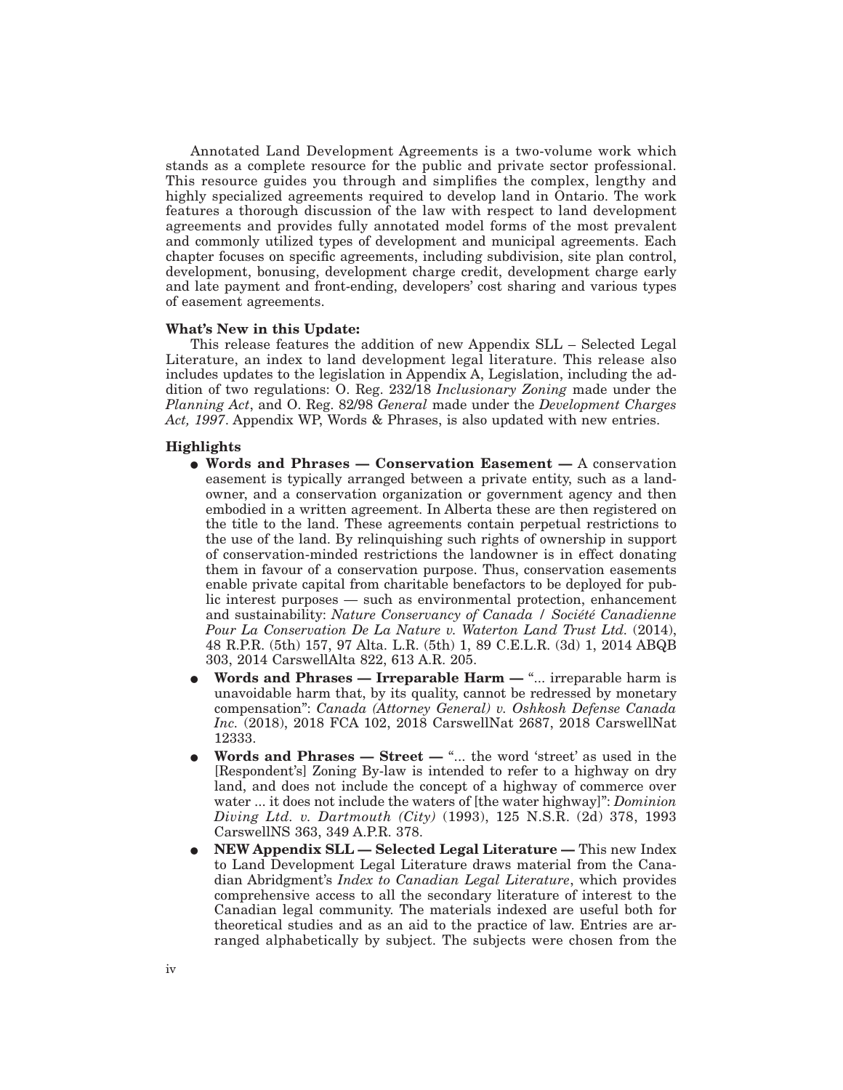Annotated Land Development Agreements is a two-volume work which stands as a complete resource for the public and private sector professional. This resource guides you through and simplifies the complex, lengthy and highly specialized agreements required to develop land in Ontario. The work features a thorough discussion of the law with respect to land development agreements and provides fully annotated model forms of the most prevalent and commonly utilized types of development and municipal agreements. Each chapter focuses on specific agreements, including subdivision, site plan control, development, bonusing, development charge credit, development charge early and late payment and front-ending, developers' cost sharing and various types of easement agreements.

#### **What's New in this Update:**

This release features the addition of new Appendix SLL – Selected Legal Literature, an index to land development legal literature. This release also includes updates to the legislation in Appendix A, Legislation, including the addition of two regulations: O. Reg. 232/18 *Inclusionary Zoning* made under the *Planning Act*, and O. Reg. 82/98 *General* made under the *Development Charges Act, 1997*. Appendix WP, Words & Phrases, is also updated with new entries.

#### **Highlights**

- E **Words and Phrases Conservation Easement —** A conservation easement is typically arranged between a private entity, such as a landowner, and a conservation organization or government agency and then embodied in a written agreement. In Alberta these are then registered on the title to the land. These agreements contain perpetual restrictions to the use of the land. By relinquishing such rights of ownership in support of conservation-minded restrictions the landowner is in effect donating them in favour of a conservation purpose. Thus, conservation easements enable private capital from charitable benefactors to be deployed for public interest purposes — such as environmental protection, enhancement and sustainability: *Nature Conservancy of Canada / Société Canadienne Pour La Conservation De La Nature v. Waterton Land Trust Ltd.* (2014), 48 R.P.R. (5th) 157, 97 Alta. L.R. (5th) 1, 89 C.E.L.R. (3d) 1, 2014 ABQB 303, 2014 CarswellAlta 822, 613 A.R. 205.
- **Words and Phrases Irreparable Harm "... irreparable harm is** unavoidable harm that, by its quality, cannot be redressed by monetary compensation'': *Canada (Attorney General) v. Oshkosh Defense Canada Inc.* (2018), 2018 FCA 102, 2018 CarswellNat 2687, 2018 CarswellNat 12333.
- Words and Phrases Street "... the word 'street' as used in the [Respondent's] Zoning By-law is intended to refer to a highway on dry land, and does not include the concept of a highway of commerce over water ... it does not include the waters of [the water highway]'': *Dominion Diving Ltd. v. Dartmouth (City)* (1993), 125 N.S.R. (2d) 378, 1993 CarswellNS 363, 349 A.P.R. 378.
- E **NEW Appendix SLL Selected Legal Literature —** This new Index to Land Development Legal Literature draws material from the Canadian Abridgment's *Index to Canadian Legal Literature*, which provides comprehensive access to all the secondary literature of interest to the Canadian legal community. The materials indexed are useful both for theoretical studies and as an aid to the practice of law. Entries are arranged alphabetically by subject. The subjects were chosen from the